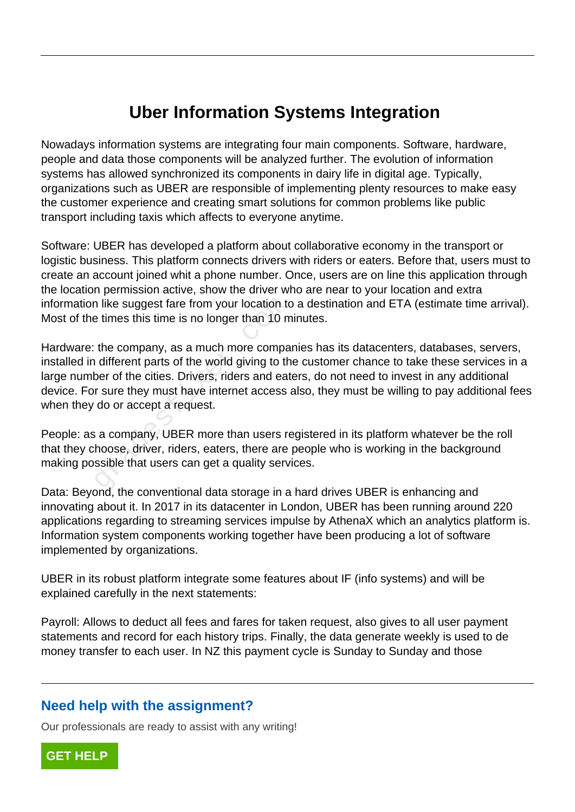## **Uber Information Systems Integration**

Nowadays information systems are integrating four main components. Software, hardware, people and data those components will be analyzed further. The evolution of information systems has allowed synchronized its components in dairy life in digital age. Typically, organizations such as UBER are responsible of implementing plenty resources to make easy the customer experience and creating smart solutions for common problems like public transport including taxis which affects to everyone anytime.

Software: UBER has developed a platform about collaborative economy in the transport or logistic business. This platform connects drivers with riders or eaters. Before that, users must to create an account joined whit a phone number. Once, users are on line this application through the location permission active, show the driver who are near to your location and extra information like suggest fare from your location to a destination and ETA (estimate time arrival). Most of the times this time is no longer than 10 minutes.

Hardware: the company, as a much more companies has its datacenters, databases, servers, installed in different parts of the world giving to the customer chance to take these services in a large number of the cities. Drivers, riders and eaters, do not need to invest in any additional device. For sure they must have internet access also, they must be willing to pay additional fees when they do or accept a request. I like suggest fare from your location to<br>
Let times this time is no longer than 10 m<br>
the company, as a much more compa<br>
I different parts of the world giving to th<br>
ber of the cities. Drivers, riders and eat<br>
r sure they

People: as a company, UBER more than users registered in its platform whatever be the roll that they choose, driver, riders, eaters, there are people who is working in the background making possible that users can get a quality services.

Data: Beyond, the conventional data storage in a hard drives UBER is enhancing and innovating about it. In 2017 in its datacenter in London, UBER has been running around 220 applications regarding to streaming services impulse by AthenaX which an analytics platform is. Information system components working together have been producing a lot of software implemented by organizations.

UBER in its robust platform integrate some features about IF (info systems) and will be explained carefully in the next statements:

Payroll: Allows to deduct all fees and fares for taken request, also gives to all user payment statements and record for each history trips. Finally, the data generate weekly is used to de money transfer to each user. In NZ this payment cycle is Sunday to Sunday and those

## **Need help with the assignment?**

Our professionals are ready to assist with any writing!

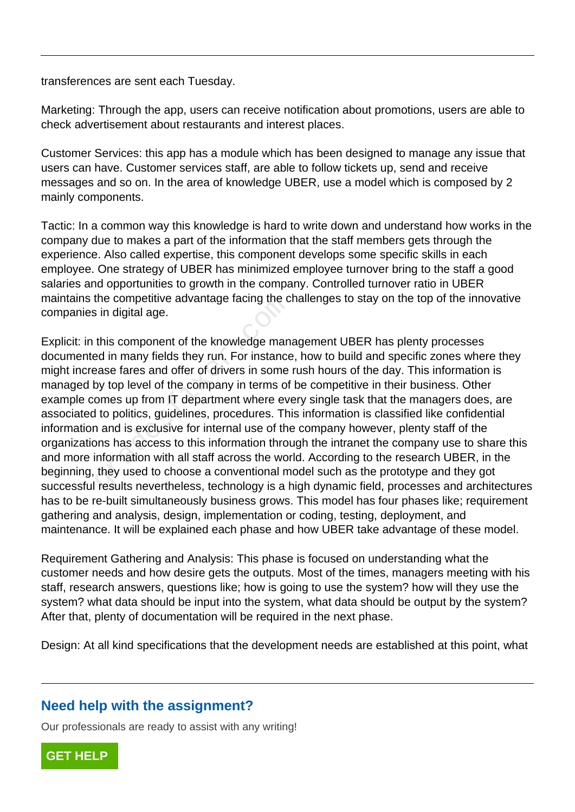transferences are sent each Tuesday.

Marketing: Through the app, users can receive notification about promotions, users are able to check advertisement about restaurants and interest places.

Customer Services: this app has a module which has been designed to manage any issue that users can have. Customer services staff, are able to follow tickets up, send and receive messages and so on. In the area of knowledge UBER, use a model which is composed by 2 mainly components.

Tactic: In a common way this knowledge is hard to write down and understand how works in the company due to makes a part of the information that the staff members gets through the experience. Also called expertise, this component develops some specific skills in each employee. One strategy of UBER has minimized employee turnover bring to the staff a good salaries and opportunities to growth in the company. Controlled turnover ratio in UBER maintains the competitive advantage facing the challenges to stay on the top of the innovative companies in digital age.

Explicit: in this component of the knowledge management UBER has plenty processes documented in many fields they run. For instance, how to build and specific zones where they might increase fares and offer of drivers in some rush hours of the day. This information is managed by top level of the company in terms of be competitive in their business. Other example comes up from IT department where every single task that the managers does, are associated to politics, guidelines, procedures. This information is classified like confidential information and is exclusive for internal use of the company however, plenty staff of the organizations has access to this information through the intranet the company use to share this and more information with all staff across the world. According to the research UBER, in the beginning, they used to choose a conventional model such as the prototype and they got successful results nevertheless, technology is a high dynamic field, processes and architectures has to be re-built simultaneously business grows. This model has four phases like; requirement gathering and analysis, design, implementation or coding, testing, deployment, and maintenance. It will be explained each phase and how UBER take advantage of these model. Intercompetitive advantage racing the c<br>is in digital age.<br>this component of the knowledge man<br>ed in many fields they run. For instance<br>ease fares and offer of drivers in some<br>by top level of the company in terms of<br>omes u

Requirement Gathering and Analysis: This phase is focused on understanding what the customer needs and how desire gets the outputs. Most of the times, managers meeting with his staff, research answers, questions like; how is going to use the system? how will they use the system? what data should be input into the system, what data should be output by the system? After that, plenty of documentation will be required in the next phase.

Design: At all kind specifications that the development needs are established at this point, what

## **Need help with the assignment?**

Our professionals are ready to assist with any writing!